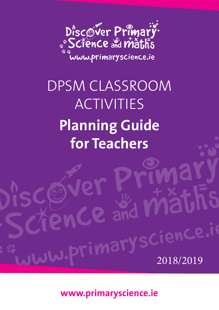

## DPSM CLASSROOM ACTIVITIES **Planning Guide for Teachers**

JW.primaryscience.io

**www.primaryscience.ie**

and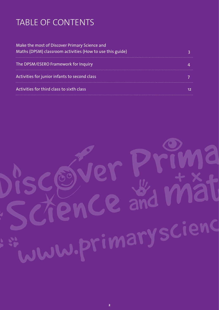## TABLE OF CONTENTS

| Make the most of Discover Primary Science and<br>Maths (DPSM) classroom activities (How to use this guide) |  |
|------------------------------------------------------------------------------------------------------------|--|
| The DPSM/ESERO Framework for Inquiry                                                                       |  |
| Activities for junior infants to second class                                                              |  |
| Activities for third class to sixth class                                                                  |  |

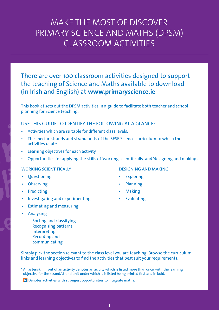### MAKE THE MOST OF DISCOVER PRIMARY SCIENCE AND MATHS (DPSM) CLASSROOM ACTIVITIES

There are over 100 classroom activities designed to support the teaching of Science and Maths available to download (in Irish and English) at **www.primaryscience.ie**

This booklet sets out the DPSM activities in a guide to facilitate both teacher and school planning for Science teaching.

#### USE THIS GUIDE TO IDENTIFY THE FOLLOWING AT A GLANCE:

- Activities which are suitable for different class levels.
- The specific strands and strand units of the SESE Science curriculum to which the activities relate.
- Learning objectives for each activity.
- Opportunities for applying the skills of 'working scientifically' and 'designing and making'.

#### WORKING SCIENTIFICALLY

- **Questioning**
- Observing
- Predicting
- Investigating and experimenting
- Estimating and measuring
- Analysing
	- Sorting and classifying Recognising patterns Interpreting Recording and communicating

Simply pick the section relevant to the class level you are teaching. Browse the curriculum links and learning objectives to find the activities that best suit your requirements.

\* An asterisk in front of an activity denotes an acivity which is listed more than once, with the learning objective for the strand/strand unit under which it is listed being printed first and in bold.

**M** Denotes activities with strongest opportunities to integrate maths.

#### DESIGNING AND MAKING

- **Exploring**
- Planning
- Making
- Evaluating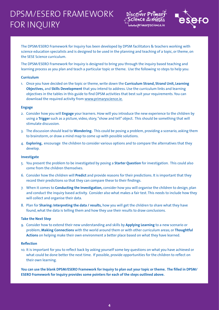## DPSM/ESERO FRAMEWORK FOR INQUIRY





The DPSM/ESERO Framework for Inquiry has been developed by DPSM facilitators & teachers working with science education specialists and is designed to be used in the planning and teaching of a topic, or theme, on the SESE Science curriculum.

The DPSM/ESERO Framework for Inquiry is designed to bring you through the inquiry based teaching and learning process as you plan and teach a particular topic or theme. Use the following 10 steps to help you:

#### **Curriculum**

1. Once you have decided on the topic or theme, write down the **Curriculum Strand, Strand Unit, Learning Objectives,** and **Skills Development** that you intend to address. Use the curriculum links and learning objectives in the tables in this guide to find DPSM activities that best suit your requirements. You can download the required activity from www.primaryscience.ie.

#### **Engage**

- 2. Consider how you will **Engage** your learners. How will you introduce the new experience to the children by using a **Trigger** such as a picture, video, story, "show and tell" object. This should be something that will stimulate discussion.
- 3. The discussion should lead to **Wondering.** This could be posing a problem, providing a scenario, asking them to brainstorm, or draw a mind map to come up with possible solutions.
- 4. **Exploring,** encourage the children to consider various options and to compare the alternatives that they develop.

#### **Investigate**

- 5. You present the problem to be investigated by posing a **Starter Question** for investigation. This could also come from the children themselves.
- 6. Consider how the children will **Predict** and provide reasons for their predictions. It is important that they record their predictions so that they can compare these to their findings.
- 7. When it comes to **Conducting the Investigation,** consider how you will organise the children to design, plan and conduct the inquiry based activity. Consider also what makes a fair test. This needs to include how they will collect and organise their data.
- 8. Plan for **Sharing: Interpreting the data / results,** how you will get the children to share what they have found, what the data is telling them and how they use their results to draw conclusions.

#### **Take the Next Step**

9. Consider how to extend their new understanding and skills by **Applying Learning** to a new scenario or problem; **Making Connections** with the world around them or with other curriculum areas; or **Thoughtful Actions** on helping make their own environment a better place based on what they have learned.

#### **Reflection**

10. It is important for you to reflect back by asking yourself some key questions on what you have achieved or what could be done better the next time. If possible, provide opportunities for the children to reflect on their own learning.

**You can use the blank DPSM/ESERO Framework for Inquiry to plan out your topic or theme. The filled in DPSM/ ESERO Framework for Inquiry provides some pointers for each of the steps outlined above.**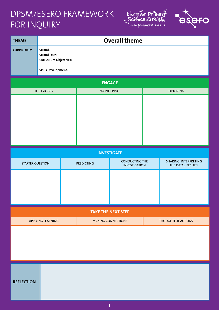## DPSM/ESERO FRAMEWORK FOR INQUIRY





| <b>THEME</b>              |                                                                                               |  |                           | <b>Overall theme</b>                   |                           |                                             |
|---------------------------|-----------------------------------------------------------------------------------------------|--|---------------------------|----------------------------------------|---------------------------|---------------------------------------------|
| <b>CURRICULUM</b>         | Strand:<br><b>Strand Unit:</b><br><b>Curriculum Objectives:</b><br><b>Skills Development:</b> |  |                           |                                        |                           |                                             |
|                           |                                                                                               |  |                           | <b>ENGAGE</b>                          |                           |                                             |
|                           | THE TRIGGER                                                                                   |  |                           | <b>WONDERING</b>                       |                           | <b>EXPLORING</b>                            |
|                           |                                                                                               |  |                           |                                        |                           |                                             |
|                           |                                                                                               |  |                           | <b>INVESTIGATE</b>                     |                           |                                             |
| <b>STARTER QUESTION</b>   |                                                                                               |  | <b>PREDICTING</b>         | CONDUCTING THE<br><b>INVESTIGATION</b> |                           | SHARING: INTERPRETING<br>THE DATA / RESULTS |
|                           |                                                                                               |  |                           |                                        |                           |                                             |
| <b>TAKE THE NEXT STEP</b> |                                                                                               |  |                           |                                        |                           |                                             |
| <b>APPLYING LEARNING</b>  |                                                                                               |  | <b>MAKING CONNECTIONS</b> |                                        | <b>THOUGHTFUL ACTIONS</b> |                                             |
|                           |                                                                                               |  |                           |                                        |                           |                                             |

**REFLECTION**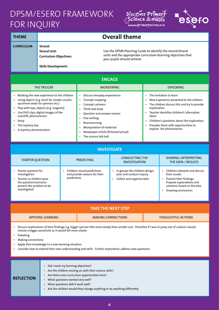## DPSM/ESERO FRAMEWORK FOR INQUIRY





| <b>THEME</b>                                                                                                                     | <b>Overall theme</b>                                                                                                                                                                                                 |                                                                                                                                                                                                                                                                                                                        |                                                                                                                                                                                                                                                                                                                        |  |  |
|----------------------------------------------------------------------------------------------------------------------------------|----------------------------------------------------------------------------------------------------------------------------------------------------------------------------------------------------------------------|------------------------------------------------------------------------------------------------------------------------------------------------------------------------------------------------------------------------------------------------------------------------------------------------------------------------|------------------------------------------------------------------------------------------------------------------------------------------------------------------------------------------------------------------------------------------------------------------------------------------------------------------------|--|--|
| <b>CURRICULUM</b>                                                                                                                | Strand:<br><b>Strand Unit:</b><br><b>Curriculum Objectives:</b><br><b>Skills Development:</b>                                                                                                                        | your pupils should achieve.                                                                                                                                                                                                                                                                                            | Use the DPSM Planning Guide to identify the strand/strand<br>units and the appropriate curriculum/learning objectives that                                                                                                                                                                                             |  |  |
|                                                                                                                                  | <b>ENGAGE</b>                                                                                                                                                                                                        |                                                                                                                                                                                                                                                                                                                        |                                                                                                                                                                                                                                                                                                                        |  |  |
|                                                                                                                                  | <b>THE TRIGGER</b>                                                                                                                                                                                                   | <b>WONDERING</b>                                                                                                                                                                                                                                                                                                       | <b>EXPLORING</b>                                                                                                                                                                                                                                                                                                       |  |  |
| $\bullet$<br>$\bullet$<br>$\bullet$<br>scientific phenomenon<br>Story<br>$\bullet$<br>The mystery box<br>A mystery demonstration | Relating the new experience to the children<br>Using objects (e.g. torch for simple circuits,<br>sycamore seeds for spinners etc.)<br>Play with toys, objects (e.g. magnets)<br>Use DVD clips, digital images of the | Discuss everyday experiences<br>$\bullet$<br>Concept mapping<br>$\bullet$<br>Concept cartoons<br>Think and draw<br>Ouestion and answer session<br>$\bullet$<br>Free writing<br>٠<br>Brainstorming<br>٠<br>Manipulation of materials<br>$\bullet$<br>Newspaper article (fictional/actual)<br>٠<br>The science talk ball | The Invitation to learn<br>$\bullet$<br>New experience presented to the children<br>The children discuss this and try to provide<br>explanation<br>Teacher identifies children's 'alternative<br>ideas'<br>Children's questions about the exploration<br>Provides them with opportunities to<br>explore the phenomenon |  |  |

| <b>INVESTIGATE</b> |  |  |
|--------------------|--|--|
|                    |  |  |

| <b>STARTER OUESTION</b>                                                                                                                    | <b>PREDICTING</b>                                                           | <b>CONDUCTING THE</b><br><b>INVESTIGATION</b>                                           | SHARING: INTERPRETING<br>THE DATA / RESULTS                                                                                                                  |
|--------------------------------------------------------------------------------------------------------------------------------------------|-----------------------------------------------------------------------------|-----------------------------------------------------------------------------------------|--------------------------------------------------------------------------------------------------------------------------------------------------------------|
| Starter question for<br>investigation<br>• Teacher or children pose<br>the question/scenario/<br>present the problem to be<br>investigated | Children record predictions<br>and provide reasons for their<br>predictions | In groups the children design,<br>plan and conduct inquiry<br>Collect and organise data | Children interpret and discuss<br>their results<br>Present their findings:<br>Propose explanations and<br>solutions based on the data<br>Drawing conclusions |

|                   | <b>LTAKE THE NEXT STEP !</b> |                           |
|-------------------|------------------------------|---------------------------|
| APPLYING LEARNING | <b>MAKING CONNECTIONS</b>    | <b>THOUGHTFUL ACTIONS</b> |

• Discuss implications of their findings e.g. bigger spinner falls more slowly than smaller one. Therefore if I was to jump out of a plane I would choose a bigger parachute as it would fall more slowly

- Debating
- Making connections
- Apply their knowledge to a new learning situation
- Consider how to extend their new understanding and skills further exploration, address new questions

| <b>REFLECTION</b> | Did I meet my learning objectives?<br>Are the children moving on with their science skills?<br>Are there cross curriculum opportunities here?<br>What questions worked very well?<br>What questions didn't work well?<br>Ask the children would they change anything or do anything differently. |
|-------------------|--------------------------------------------------------------------------------------------------------------------------------------------------------------------------------------------------------------------------------------------------------------------------------------------------|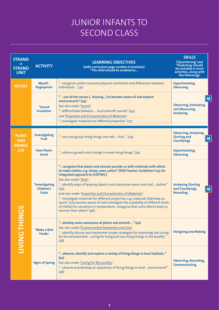| <b>STRAND</b><br><b>STRAND</b><br><b>UNIT</b> | <b>ACTIVITY</b>                                     | <b>LEARNING OBJECTIVES</b><br>(with curriculum page number in brackets)<br>"The child should be enabled to                                                                                                                                                                                                                                                                                                                                                                                                                                                                                                                                                    | <b>SKILLS</b><br>('Questioning' and<br>'Predicting' should<br>be included in most<br>activities, along with<br>the following): |
|-----------------------------------------------|-----------------------------------------------------|---------------------------------------------------------------------------------------------------------------------------------------------------------------------------------------------------------------------------------------------------------------------------------------------------------------------------------------------------------------------------------------------------------------------------------------------------------------------------------------------------------------------------------------------------------------------------------------------------------------------------------------------------------------|--------------------------------------------------------------------------------------------------------------------------------|
| <b>MYSELF</b>                                 | Myself -<br>fingerprints                            | " recognise and/or measure physical similarities and differences between<br>individuals " (41)                                                                                                                                                                                                                                                                                                                                                                                                                                                                                                                                                                | <b>Experimenting,</b><br><b>Observing</b>                                                                                      |
|                                               | *Sound<br><b>Insulation</b>                         | "  use all the senses ( hearing ) to become aware of and explore<br>environments" (24)<br>See also under 'Sound':<br>" differentiate between  loud and soft sounds" (43);<br>and 'Properties and Characteristics of Materials':<br>"investigate materials for different properties" (27)                                                                                                                                                                                                                                                                                                                                                                      | <b>Observing, Estimating</b><br>and Measuring,<br><b>Analysing</b>                                                             |
| <b>PLANT</b><br><b>AND</b>                    | <b>Investigating</b><br><b>Fruit</b>                | " sort and group living things into sets  fruit " (24)                                                                                                                                                                                                                                                                                                                                                                                                                                                                                                                                                                                                        | <b>Observing, Analysing</b><br>(Sorting and<br><b>Classifying</b> )                                                            |
| <b>ANIMAL</b><br><b>LIFE</b>                  | <b>How Plants</b><br><b>Drink</b>                   | " observe growth and change in some living things" (24)                                                                                                                                                                                                                                                                                                                                                                                                                                                                                                                                                                                                       | <b>Experimenting,</b><br><b>Observing</b>                                                                                      |
|                                               | <i>*Investigating</i><br>Children's<br><b>Coats</b> | " recognise that plants and animals provide us with materials with which<br>to make clothes, e.g. sheep, cows, cotton" (SESE Teacher Guidelines P.47, for<br>integrated approach to CLOTHES.)<br>See also under 'Heat':<br>" identify ways of keeping objects and substances warm and cold  clothes"<br>(25):<br>and also under 'Properties and Characteristics of Materials':<br>" investigate materials for different properties, e.g. materials that keep us<br>warm" (27); become aware of and investigate the suitability of different kinds<br>of clothes for variations in temperature recognise that some fabrics keep us<br>warmer than others" (46) | <b>Analysing (Sorting</b><br>and Classifying),<br>M<br><b>Recording</b>                                                        |
| <b>INIDING</b>                                | *Make a Bird<br><b>Feeder</b>                       | " develop some awareness of plants and animals  " (42)<br>See also under 'Environmental Awareness and Care':<br>" identify, discuss and implement simple strategies for improving and caring<br>for the environment  caring for living and non-living things in the locality"<br>(28)                                                                                                                                                                                                                                                                                                                                                                         | <b>Designing and Making</b>                                                                                                    |
|                                               | <b>Signs of Spring</b>                              | " observe, identify and explore a variety of living things in local habitats"<br>(42)<br>See also under 'Caring for My Locality':<br>" observe and develop an awareness of living things in local  environment"<br>(48)                                                                                                                                                                                                                                                                                                                                                                                                                                       | <b>Observing, Recording,</b><br><b>Communicating</b>                                                                           |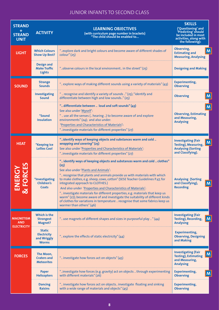| <b>STRAND</b><br>÷<br><b>STRAND</b><br><b>UNIT</b>   | <b>ACTIVITY</b>                                                    | <b>LEARNING OBJECTIVES</b><br>(with curriculum page number in brackets)<br>"The child should be enabled to                                                                                                                                                                                                                                                                                                                                                                                                                                                                                                                                                                  | <b>SKILLS</b><br>('Questioning' and<br>'Predicting' should<br>be included in most<br>activities, along with<br>the following): |
|------------------------------------------------------|--------------------------------------------------------------------|-----------------------------------------------------------------------------------------------------------------------------------------------------------------------------------------------------------------------------------------------------------------------------------------------------------------------------------------------------------------------------------------------------------------------------------------------------------------------------------------------------------------------------------------------------------------------------------------------------------------------------------------------------------------------------|--------------------------------------------------------------------------------------------------------------------------------|
| <b>LIGHT</b>                                         | <b>Which Colours</b><br><b>Show Up Best?</b>                       | "explore dark and bright colours and become aware of different shades of<br>color''(25)                                                                                                                                                                                                                                                                                                                                                                                                                                                                                                                                                                                     | Observing,<br>M<br><b>Estimating and</b><br><b>Measuring, Analysing</b>                                                        |
|                                                      | <b>Design and</b><br><b>Make Traffic</b><br><b>Lights</b>          | "observe colours in the local environment in the street" (25)                                                                                                                                                                                                                                                                                                                                                                                                                                                                                                                                                                                                               | <b>Designing and Making</b>                                                                                                    |
| <b>SOUND</b>                                         | <b>Strange</b><br><b>Sounds</b>                                    | " explore ways of making different sounds using a variety of materials" (43)                                                                                                                                                                                                                                                                                                                                                                                                                                                                                                                                                                                                | <b>Experimenting,</b><br><b>Observing</b>                                                                                      |
|                                                      | <b>Investigating</b><br><b>Sound</b>                               | "  recognise and identify a variety of sounds " (25); "identify and<br>differentiate between high and low sounds" (25)                                                                                                                                                                                                                                                                                                                                                                                                                                                                                                                                                      | $\mathsf{M}$<br><b>Observing</b>                                                                                               |
|                                                      | <i><b>*Sound</b></i><br><b>Insulation</b>                          | " differentiate between  loud and soft sounds" (43)<br>See also under 'Myself':<br>"  use all the senses ( hearing ) to become aware of and explore<br>environments" (24); and also under:<br>'Properties and Characteristics of Materials':<br>"investigate materials for different properties" (27)                                                                                                                                                                                                                                                                                                                                                                       | M<br><b>Observing, Estimating</b><br>and Measuring,<br><b>Analysing</b>                                                        |
| <b>HEAT</b>                                          | *Keeping Ice<br><b>Lollies Cool</b>                                | "identify ways of keeping objects and substances warm and cold<br>wrapping and covering" (25)<br>See also under 'Properties and Characteristics of Materials':<br>"investigate materials for different properties" (27)                                                                                                                                                                                                                                                                                                                                                                                                                                                     | <b>Investigating (Fair</b><br>M<br>Testing), Measuring,<br><b>Analysing (Sorting</b><br>and Classifying).                      |
| 马                                                    | <i>*Investigating</i><br>Children's<br><b>Coats</b>                | " identify ways of keeping objects and substances warm and cold  clothes"<br>(25)<br>See also under 'Plants and Animals':<br>" recognise that plants and animals provide us with materials with which<br>to make clothes, e.g. sheep, cows, cotton" (SESE Teacher Guidelines P.47, for<br>integrated approach to CLOTHES.)<br>And also under 'Properties and Characteristics of Materials':<br>" investigate materials for different properties, e.g. materials that keep us<br>warm" (27); become aware of and investigate the suitability of different kinds<br>of clothes for variations in temperature  recognise that some fabrics keep us<br>warmer than others" (46) | <b>Analysing (Sorting</b><br>and Classifying),<br><b>Recording</b>                                                             |
| <b>MAGNETISM</b><br><b>AND</b><br><b>ELECTRICITY</b> | Which is the<br><b>Strongest</b><br><b>Magnet?</b>                 | " use magnets of different shapes and sizes in purposeful play " (44)                                                                                                                                                                                                                                                                                                                                                                                                                                                                                                                                                                                                       | <b>Investigating (Fair</b><br>Testing), Recording,<br>$\mathsf{M}$<br><b>Analysing</b>                                         |
|                                                      | <b>Static</b><br><b>Electricity</b><br>and Wriggly<br><b>Worms</b> | " explore the effects of static electricity" (44)                                                                                                                                                                                                                                                                                                                                                                                                                                                                                                                                                                                                                           | <b>Experimenting,</b><br><b>Observing, Designing</b><br>and Making                                                             |
| <b>FORCES</b>                                        | The Moon,<br><b>Craters and</b><br><b>Meteorites</b>               | " investigate how forces act on objects" (45)                                                                                                                                                                                                                                                                                                                                                                                                                                                                                                                                                                                                                               | <b>Investigating (Fair</b><br>M<br><b>Testing), Estimating</b><br>and Measuring,<br><b>Analysing</b>                           |
|                                                      | <b>Paper</b><br><b>Helicopters</b>                                 | "investigate how forces (e.g. gravity) act on objects  through experimenting<br>with different materials" (26)                                                                                                                                                                                                                                                                                                                                                                                                                                                                                                                                                              | <b>Experimenting,</b><br>M<br><b>Observing</b>                                                                                 |
|                                                      | <b>Dancing</b><br><b>Raisins</b>                                   | " investigate how forces act on objects investigate floating and sinking<br>with a wide range of materials and objects" (45)                                                                                                                                                                                                                                                                                                                                                                                                                                                                                                                                                | <b>Experimenting,</b><br><b>Observing</b>                                                                                      |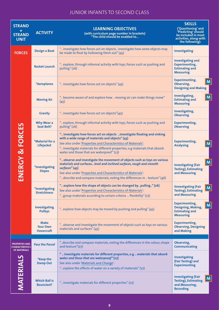| <b>STRAND</b><br><b>STRAND</b><br><b>UNIT</b>   | <b>ACTIVITY</b>                                     | <b>LEARNING OBJECTIVES</b><br>(with curriculum page number in brackets)<br>"The child should be enabled to                                                                                                                                                                                                                | <b>SKILLS</b><br>('Questioning' and<br>'Predicting' should<br>be included in most<br>activities, along with<br>the following): |
|-------------------------------------------------|-----------------------------------------------------|---------------------------------------------------------------------------------------------------------------------------------------------------------------------------------------------------------------------------------------------------------------------------------------------------------------------------|--------------------------------------------------------------------------------------------------------------------------------|
| <b>FORCES</b>                                   | <b>Design a Boat</b>                                | " investigate how forces act on objects investigate how some objects may<br>be made to float by hollowing them out" (45)                                                                                                                                                                                                  | Investigating                                                                                                                  |
|                                                 | <b>Rocket Launch</b>                                | " explore, through informal activity with toys, forces such as pushing and<br>pulling" (26)                                                                                                                                                                                                                               | <b>Investigating and</b><br><b>Experimenting,</b><br><b>Estimating and</b><br><b>Measuring</b>                                 |
|                                                 | *Aeroplanes                                         | " investigate how forces act on objects" (45)                                                                                                                                                                                                                                                                             | <b>Experimenting,</b><br>M<br>Observing,<br><b>Designing and Making</b>                                                        |
|                                                 | <b>Moving Air</b>                                   | " become aware of and explore how  moving air can make things move"<br>(45)                                                                                                                                                                                                                                               | Investigating,<br>M<br><b>Estimating and</b><br><b>Measuring</b>                                                               |
|                                                 | <b>Gravity</b>                                      | " investigate how forces act on objects"(45)                                                                                                                                                                                                                                                                              | Investigating,<br><b>Observing</b>                                                                                             |
|                                                 | <b>Why Wear a</b><br><b>Seat Belt?</b>              | " explore, through informal activity with toys, forces such as pushing and<br>pulling" (26)                                                                                                                                                                                                                               | <b>Experimenting,</b><br><b>Observing</b>                                                                                      |
| ENERGY & FORCES                                 | *Material for a<br>Lifejacket                       | " investigate how forces act on objects investigate floating and sinking<br>with a wide range of materials and objects" (45)<br>See also under 'Properties and Characteristics of Materials':<br>" investigate materials for different properties, e.g materials that absorb<br>water and those that are waterproof" (27) | <b>Experimenting,</b><br>M<br><b>Analysing</b>                                                                                 |
|                                                 | *Investigating<br><b>Slopes</b>                     | " observe and investigate the movement of objects such as toys on various<br>materials and surfaces level and inclined surfaces, rough and smooth<br>surfaces" (45)<br>See also under 'Properties and Characteristics of Materials':<br>" describe and compare materials, noting the differences in  texture" (46)        | M<br><b>Investigating (Fair</b><br><b>Testing), Estimating</b><br>and Measuring                                                |
|                                                 | *Investigating<br><b>Stretchiness</b>               | " explore how the shape of objects can be changed by pulling" (26)<br>See also under 'Properties and Characteristics of Materials':<br>" group materials according to certain criteria  flexibility" (27)                                                                                                                 | <b>Ilnvestigating (Fair</b><br>M<br><b>Testing), Estimating</b><br>and Measuring                                               |
|                                                 | Investigating<br><b>Pulleys</b>                     | " explore how objects may be moved by pushing and pulling" (45)                                                                                                                                                                                                                                                           | Experimenting,<br>M<br>Designing, Making,<br><b>Estimating and</b><br><b>Measuring</b>                                         |
|                                                 | <b>Make</b><br><b>Your Own</b><br><b>Hovercraft</b> | " observe and investigate the movement of objects such as toys on various<br>materials and surfaces" (45)                                                                                                                                                                                                                 | <b>Experimenting,</b><br><b>Observing, Designing</b><br>and Making                                                             |
| <b>PROPERTIES AND</b><br><b>CHARACTERISTICS</b> | <b>Pass the Parcel</b>                              | "describe and compare materials, noting the differences in the colour, shape<br>and texture"(27)                                                                                                                                                                                                                          | Observing,<br><b>Communicating</b>                                                                                             |
| <b>OF MATERIALS</b>                             | *Keep the<br><b>Damp Out</b>                        | " investigate materials for different properties, e.g. . materials that absorb<br>water and those that are waterproof" (27)<br>See also under 'Materials and Change':<br>" explore the effects of water on a variety of materials" (27)                                                                                   | <b>Investigating</b><br>(Fair Testing) and<br><b>Experimenting</b>                                                             |
| <b>MATERIALS</b>                                | <b>Which Ball is</b><br><b>Bounciest?</b>           | " investigate materials for different properties" (27)                                                                                                                                                                                                                                                                    | <b>Investigating (Fair</b><br>M<br><b>Testing), Estimating</b><br>and Measuring,<br><b>Recording</b>                           |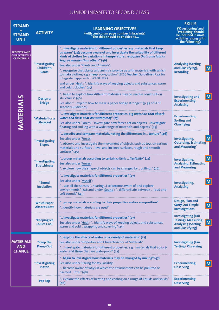| <b>STRAND</b><br><b>STRAND</b><br><b>UNIT</b>                          | <b>ACTIVITY</b>                              | <b>LEARNING OBJECTIVES</b><br>(with curriculum page number in brackets)<br>"The child should be enabled to                                                                                                                                                                                                                                                                                                                                                                                                                                                                                                                  | <b>SKILLS</b><br>('Questioning' and<br>'Predicting' should<br>be included in most<br>activities, along with<br>the following): |
|------------------------------------------------------------------------|----------------------------------------------|-----------------------------------------------------------------------------------------------------------------------------------------------------------------------------------------------------------------------------------------------------------------------------------------------------------------------------------------------------------------------------------------------------------------------------------------------------------------------------------------------------------------------------------------------------------------------------------------------------------------------------|--------------------------------------------------------------------------------------------------------------------------------|
| <b>PROPERTIES AND</b><br><b>CHARACTERISTICS</b><br><b>OF MATERIALS</b> | *Investigating<br><b>Children's</b><br>Coats | " investigate materials for different properties, e.g. materials that keep<br>us warm" (27); become aware of and investigate the suitability of different<br>kinds of clothes for variations in temperature recognise that some fabrics<br>keep us warmer than others" (46)<br>See also under 'Plants and Animals':<br>" recognise that plants and animals provide us with materials with which<br>to make clothes, e.g. sheep, cows, cotton" (SESE Teacher Guidelines P.47, for<br>integrated approach to CLOTHES.)<br>and under 'Heat': " identify ways of keeping objects and substances warm<br>and cold  clothes" (25) | <b>Analysing (Sorting</b><br>and Classifying),<br>M<br><b>Recording</b>                                                        |
|                                                                        | Design a<br><b>Bridge</b>                    | " begin to explore how different materials may be used in construction<br>structures" (46)<br>See also: "  explore how to make a paper bridge stronger" (p. 37 of SESE<br><b>Teacher Guidelines)</b>                                                                                                                                                                                                                                                                                                                                                                                                                        | M<br><b>Investigating and</b><br><b>Experimenting,</b><br><b>Analysing</b>                                                     |
| <b>MATERIALS</b>                                                       | *Material for a<br>Lifejacket                | " investigate materials for different properties, e.g materials that absorb<br>water and those that are waterproof" (27)<br>See also under 'Forces': "investigate how forces act on objects investigate<br>floating and sinking with a wide range of materials and objects" (45)                                                                                                                                                                                                                                                                                                                                            | <b>Experimenting,</b><br><b>Sorting and</b><br><b>Classifying</b>                                                              |
|                                                                        | <i>*Investigating</i><br><b>Slopes</b>       | " describe and compare materials, noting the differences in  texture" (46)<br>See also under 'Forces'<br>" observe and investigate the movement of objects such as toys on various<br>materials and surfaces  level and inclined surfaces, rough and smooth<br>surfaces" (45)                                                                                                                                                                                                                                                                                                                                               | M<br>Investigating,<br><b>Observing, Estimating</b><br>and Measuring'                                                          |
|                                                                        | <i>*Investigating</i><br><b>Stretchiness</b> | " group materials according to certain criteria  flexibility" (27)<br>See also under 'Forces':<br>" explore how the shape of objects can be changed by  pulling" (26)                                                                                                                                                                                                                                                                                                                                                                                                                                                       | $\mathsf{M}$<br>Investigating,<br><b>Analysing, Estimating</b><br>and Measuring                                                |
|                                                                        | <i>*Sound</i><br><b>Insulation</b>           | " investigate materials for different properties" (27)<br>See also under 'Myself':<br>"  use all the senses ( hearing ) to become aware of and explore<br>environments" (24); and under 'Sound': " differentiate between  loud and<br>soft sounds" (43)                                                                                                                                                                                                                                                                                                                                                                     | Investigating,<br><b>Analysing</b>                                                                                             |
|                                                                        | <b>Which Paper</b><br><b>Absorbs Best</b>    | " group materials according to their properties and/or composition"<br>"identify how materials are used"                                                                                                                                                                                                                                                                                                                                                                                                                                                                                                                    | Design, Plan and<br><b>Carry Out Simple</b><br>$\mathsf{M}$<br><b>Investigations</b>                                           |
|                                                                        | <i>*</i> Keeping Ice<br><b>Lollies Cool</b>  | " investigate materials for different properties" (27)<br>See also under 'Heat': " identify ways of keeping objects and substances<br>warm and cold  wrapping and covering" (25)                                                                                                                                                                                                                                                                                                                                                                                                                                            | <b>Investigating (Fair</b><br>Testing), Measuring,<br>M<br><b>Analysing (Sorting</b><br>and Classifying)                       |
| <b>MATERIALS</b><br><b>AND</b><br><b>CHANGE</b>                        | *Keep the<br><b>Damp Out</b>                 | " explore the effects of water on a variety of materials" (27)<br>See also under 'Properties and Characteristics of Materials':<br>" investigate materials for different properties, e.g. . materials that absorb<br>water and those that are waterproof" (27)                                                                                                                                                                                                                                                                                                                                                              | <b>Investigating (Fair</b><br><b>Testing), Observing</b>                                                                       |
|                                                                        | *Investigating<br><b>Plastic</b>             | "begin to investigate how materials may be changed by mixing" (47)<br>See also under 'Caring for My Locality':<br>" become aware of ways in which the environment can be polluted or<br>harmed  litter"(48)                                                                                                                                                                                                                                                                                                                                                                                                                 | <b>Experimenting,</b><br><b>Observing</b>                                                                                      |
|                                                                        | <b>Pop Top</b>                               | " explore the effects of heating and cooling on a range of liquids and solids"<br>(46)                                                                                                                                                                                                                                                                                                                                                                                                                                                                                                                                      | <b>Experimenting,</b><br><b>Observing</b>                                                                                      |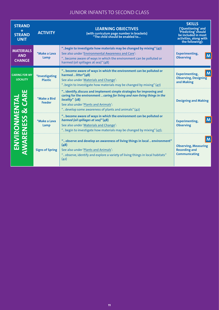| <b>STRAND</b><br><b>STRAND</b><br><b>UNIT</b>   | <b>ACTIVITY</b>                         | <b>LEARNING OBJECTIVES</b><br>(with curriculum page number in brackets)<br>"The child should be enabled to                                                                                                                                                            | <b>SKILLS</b><br>('Ouestioning' and<br>Predicting' should<br>be included in most<br>activities, along with<br>the following): |
|-------------------------------------------------|-----------------------------------------|-----------------------------------------------------------------------------------------------------------------------------------------------------------------------------------------------------------------------------------------------------------------------|-------------------------------------------------------------------------------------------------------------------------------|
| <b>MATERIALS</b><br><b>AND</b><br><b>CHANGE</b> | *Make a Lava<br>Lamp                    | "begin to investigate how materials may be changed by mixing" (47)<br>See also under 'Environmental Awareness and Care':<br>" become aware of ways in which the environment can be polluted or<br>harmed (oil spillages at sea)" (48)                                 | <b>Experimenting,</b><br>M<br><b>Observing</b>                                                                                |
| <b>CARING FOR MY</b><br><b>LOCALITY</b>         | <i>*Investigating</i><br><b>Plastic</b> | " become aware of ways in which the environment can be polluted or<br>harmed  litter"(48)<br>See also under 'Materials and Change':<br>"begin to investigate how materials may be changed by mixing" (47)                                                             | M<br><b>Experimenting,</b><br><b>Observing, Designing</b><br>and Making                                                       |
| CARI                                            | *Make a Bird<br><b>Feeder</b>           | " identify, discuss and implement simple strategies for improving and<br>caring for the environment  caring for living and non-living things in the<br>locality" (28)<br>See also under 'Plants and Animals':<br>" develop some awareness of plants and animals" (42) | <b>Designing and Making</b>                                                                                                   |
| ENVIRONMENTA<br>WARENESS & CA                   | *Make a Lava<br>Lamp                    | " become aware of ways in which the environment can be polluted or<br>harmed (oil spillages at sea)" (48)<br>See also under 'Materials and Change':<br>" begin to investigate how materials may be changed by mixing" (47);                                           | M<br><b>Experimenting,</b><br><b>Observing</b>                                                                                |
|                                                 | <b>Signs of Spring</b>                  | " observe and develop an awareness of living things in local  environment"<br>(48)<br>See also under 'Plants and Animals':<br>" observe, identify and explore a variety of living things in local habitats"<br>(42)                                                   | M<br><b>Observing, Measuring</b><br><b>Recording and</b><br><b>Communicating</b>                                              |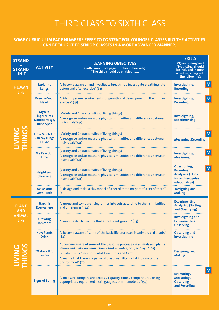#### **SOME CURRICULUM PAGE NUMBERS REFER TO CONTENT FOR YOUNGER CLASSES BUT THE ACTIVITIES CAN BE TAUGHT TO SENIOR CLASSES IN A MORE ADVANCED MANNER.**

| <b>STRAND</b><br><b>STRAND</b><br><b>UNIT</b>              | <b>ACTIVITY</b>                                                       | <b>LEARNING OBJECTIVES</b><br>(with curriculum page number in brackets)<br>"The child should be enabled to                                                                                                                                                                                          | <b>SKILLS</b><br>('Questioning' and<br>'Predicting' should<br>be included in most<br>activities, along with<br>the following): |
|------------------------------------------------------------|-----------------------------------------------------------------------|-----------------------------------------------------------------------------------------------------------------------------------------------------------------------------------------------------------------------------------------------------------------------------------------------------|--------------------------------------------------------------------------------------------------------------------------------|
| <b>HUMAN</b><br><b>LIFE</b>                                | <b>Exploring</b><br><b>Lungs</b>                                      | " become aware of and investigate breathing  investigate breathing rate<br>before and after exercise" (61)                                                                                                                                                                                          | $\mathsf{M}$<br>Investigating,<br><b>Recording</b>                                                                             |
|                                                            | <b>Exercise Your</b><br><b>Heart</b>                                  | " identify some requirements for growth and development in the human<br>exercise" (41)                                                                                                                                                                                                              | Investigating,<br>M<br><b>Recording</b>                                                                                        |
|                                                            | Myself-<br>Fingerprints,<br><b>Dominant Eye,</b><br><b>Blind Spot</b> | (Variety and Characteristics of living things)<br>" recognise and/or measure physical similarities and differences between<br>individuals" $(41)$                                                                                                                                                   | Investigating,<br><b>Experimenting</b>                                                                                         |
|                                                            | <b>How Much Air</b><br><b>Can My Lungs</b><br>Hold?                   | (Variety and Characteristics of living things)<br>" recognise and/or measure physical similarities and differences between<br>individuals" (41)                                                                                                                                                     | M<br><b>Measuring, Recording</b>                                                                                               |
|                                                            | <b>My Reaction</b><br><b>Time</b>                                     | (Variety and Characteristics of living things)<br>" recognise and/or measure physical similarities and differences between<br>individuals" (41)                                                                                                                                                     | $\mathsf{M}$<br>Investigating,<br><b>Measuring</b>                                                                             |
|                                                            | <b>Height and</b><br><b>Shoe Size</b>                                 | (Variety and Characteristics of living things)<br>" recognise and/or measure physical similarities and differences between<br>individuals" (41)                                                                                                                                                     | Questioning,<br>$\mathsf{M}$<br><b>Recording</b><br><b>Analysing (look</b><br>for and recognise<br>relationships)              |
|                                                            | <b>Make Your</b><br><b>Own Teeth</b>                                  | " design and make a clay model of a set of teeth (or part of a set of teeth"<br>(61)                                                                                                                                                                                                                | <b>Designing and</b><br><b>Making</b>                                                                                          |
| <b>PLANT</b><br><b>AND</b><br><b>ANIMAL</b><br><b>LIFE</b> | <b>Starch is</b><br><b>Everywhere</b>                                 | " group and compare living things into sets according to their similarities<br>and differences" (84)                                                                                                                                                                                                | <b>Experimenting,</b><br><b>Analysing (Sorting</b><br>and Classifying)                                                         |
|                                                            | Growing<br><b>Tomatoes</b>                                            | " investigate the factors that affect plant growth" (84)                                                                                                                                                                                                                                            | <b>Investigating and</b><br><b>Experimenting,</b><br><b>Observing</b>                                                          |
|                                                            | <b>How Plants</b><br><b>Drink</b>                                     | " become aware of some of the basic life processes in animals and plants"<br>(84)                                                                                                                                                                                                                   | <b>Observing and</b><br>investigating                                                                                          |
|                                                            | *Make a Bird<br><b>Feeder</b>                                         | " become aware of some of the basic life processes in animals and plants<br>design and make an animal home that provides for  feeding " (62)<br>See also under 'Environmental Awareness and Care':<br>" realise that there is a personal responsibility for taking care of the<br>environment" (70) | <b>Designing and</b><br><b>Making</b>                                                                                          |
|                                                            | <b>Signs of Spring</b>                                                | " measure, compare and record  capacity, time,  temperature  using<br>appropriate  equipment  rain gauges  thermometers " (57)                                                                                                                                                                      | $\mathsf{M}$<br><b>Estimating,</b><br><b>Measuring,</b><br><b>Observing</b><br>and Recording                                   |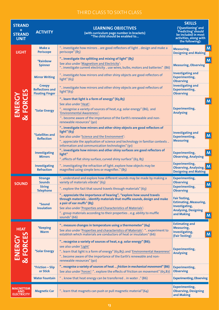| <b>STRAND</b><br><b>STRAND</b><br><b>UNIT</b>        | <b>ACTIVITY</b>                                                      | <b>LEARNING OBJECTIVES</b><br>(with curriculum page number in brackets)<br>"The child should be enabled to                                                                                                                                                                                                                                | <b>SKILLS</b><br>('Questioning' and<br>'Predicting' should<br>be included in most<br>activities, along with<br>the following): |
|------------------------------------------------------|----------------------------------------------------------------------|-------------------------------------------------------------------------------------------------------------------------------------------------------------------------------------------------------------------------------------------------------------------------------------------------------------------------------------------|--------------------------------------------------------------------------------------------------------------------------------|
| <b>LIGHT</b>                                         | Make a<br><b>Periscope</b>                                           | " investigate how mirrors  are good reflectors of light  design and make a<br>periscope" (85)                                                                                                                                                                                                                                             | M<br>Measuring,<br><b>Designing and Making</b>                                                                                 |
|                                                      | <b>*Rainbow</b><br><b>Spinner</b>                                    | " investigate the splitting and mixing of light" (85)<br>See also under 'Magnetism and Electricity':<br>" investigate current electricity  use wires, bulbs, motors and batteries" (86)                                                                                                                                                   | M<br><b>Measuring, Observing</b>                                                                                               |
|                                                      | <b>Mirror Writing</b>                                                | " investigate how mirrors and other shiny objects are good reflectors of<br>light" $(63)$                                                                                                                                                                                                                                                 | <b>Investigating and</b><br><b>Experimenting,</b><br><b>Observing</b>                                                          |
| 53                                                   | <b>Creepy</b><br><b>Reflections and</b><br><b>Floating Finger</b>    | " investigate how mirrors and other shiny objects are good reflectors of<br>light" $(63)$                                                                                                                                                                                                                                                 | <b>Investigating and</b><br><b>Experimenting,</b><br><b>Observing</b>                                                          |
| ENERG<br><b>FORCI</b><br><u>ನ</u>                    | *Solar Energy                                                        | " learn that light is a form of energy" (63,85)<br>See also under 'Heat':<br>" recognise a variety of sources of heat, e.g. solar energy" (86), and<br>'Environmental Awareness':<br>" become aware of the importance of the Earth's renewable and non-<br>renewable resources" (90)                                                      | M<br><b>Experimenting,</b><br><b>Analysing</b>                                                                                 |
|                                                      | <i><b>*Satellites and</b></i><br><b>Reflection</b>                   | " investigate how mirrors and other shiny objects are good reflectors of<br>light" (63)<br>See also under 'Science and the Environment':<br>" appreciate the application of science and technology in familiar contexts<br>information and communication technologies" (91)                                                               | <b>Investigating and</b><br>M<br><b>Experimenting,</b><br><b>Measuring</b>                                                     |
|                                                      | <b>Investigating</b><br><b>Mirrors</b>                               | " investigate how mirrors and other shiny surfaces are good reflectors of<br>light"<br>"effects of flat shiny surface, curved shiny surface" (63, 85)                                                                                                                                                                                     | M<br><b>Experimenting,</b><br><b>Observing, Analysing</b>                                                                      |
|                                                      | Investigating<br><b>Refraction</b>                                   | " investigating the refraction of lightexplore how objects may be<br>magnified using simple lens or magnifier" (85)                                                                                                                                                                                                                       | <b>Experimenting,</b><br><b>Observing, Analysing, M</b><br><b>Designing and Making</b>                                         |
| <b>SOUND</b>                                         | <b>Strange</b><br><b>Sounds</b><br><b>String</b><br><b>Telephone</b> | " understand and explore how different sounds may be made by making a<br>variety of materials vibrate" (63)<br>" explore the fact that sound travels through materials" (63)                                                                                                                                                              | <b>Experimenting,</b><br><b>Observing</b><br>M<br><b>Experimenting,</b><br><b>Observing</b>                                    |
|                                                      | <i>*Sound</i><br><b>Insulation</b>                                   | " appreciate the importance of hearing", "explore how sound travels<br>through materials  identify materials that muffle sounds, design and make<br>a pair of ear muffs" (85)<br>See also under 'Properties and Characteristics of Materials':<br>" group materials according to their properties  e.g. ability to muffle<br>sounds" (66) | <b>Fair Testing,</b><br><b>Estimating, Measuring,</b><br>Investigating,<br><b>Analysing, Designing</b><br>and Making<br>M      |
| <b>HEAT</b><br>S<br>ш                                | <i>*</i> Keeping<br><b>Warm</b>                                      | " measure changes in temperature using a thermometer" (64)<br>See also under 'Properties and characteristics of Materials': " experiment to<br>establish which materials are conductors of heat or insulators" (66)                                                                                                                       | <b>Estimating and</b><br>Measuring,<br>Investigating,<br>M<br>(Fair Testing)                                                   |
| ENERGY<br>FORC<br><u>ನ</u>                           | *Solar Energy                                                        | " recognise a variety of sources of heat, e.g. solar energy" (86);<br>see also under 'Light'<br>" learn that light is a form of energy" (63,85); and 'Environmental Awareness'<br>" become aware of the importance of the Earth's renewable and non-<br>renewable resources" (90)                                                         | <b>Experimenting,</b><br><b>Analysing</b>                                                                                      |
|                                                      | *Friction - Slip<br>or Stick                                         | " recognise a variety of sources of heat  friction in mechanical movement" (86)<br>See also under 'Forces': " explore the effects of friction on movement" (65,87)                                                                                                                                                                        | <b>Experimenting,</b><br><b>Observing</b>                                                                                      |
|                                                      | <b>Water Fountain</b>                                                | " know that heat energy can be transferred  in water " (86)                                                                                                                                                                                                                                                                               | <b>Experimenting, Observing</b>                                                                                                |
| <b>MAGNETISM</b><br><b>AND</b><br><b>ELECTRICITY</b> | <b>Magnetic Car</b>                                                  | " learn that magnets can push or pull magnetic material"(64)                                                                                                                                                                                                                                                                              | <b>Experimenting,</b><br><b>Observing, Designing</b><br>and Making                                                             |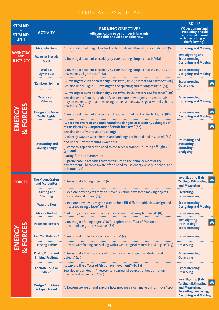| <b>STRAND</b><br><b>STRAND</b><br><b>UNIT</b> | <b>ACTIVITY</b>                                    | <b>LEARNING OBJECTIVES</b><br>(with curriculum page number in brackets)<br>"The child should be enabled to                                                                                                                                                                                                                                                                                                                                                                                                                                                                                           | <b>SKILLS</b><br>('Questioning' and<br>'Predicting' should<br>be included in most<br>activities, along with<br>the following):             |
|-----------------------------------------------|----------------------------------------------------|------------------------------------------------------------------------------------------------------------------------------------------------------------------------------------------------------------------------------------------------------------------------------------------------------------------------------------------------------------------------------------------------------------------------------------------------------------------------------------------------------------------------------------------------------------------------------------------------------|--------------------------------------------------------------------------------------------------------------------------------------------|
|                                               | <b>Magnetic Race</b>                               | " investigate that magnets attract certain materials through other materials" (64)                                                                                                                                                                                                                                                                                                                                                                                                                                                                                                                   | <b>Designing and Making</b>                                                                                                                |
| MAGNETISM<br><b>AND</b><br><b>ELECTRICITY</b> | <b>Make an Electric</b><br>Quiz                    | " investigate current electricity by constructing simple circuits" (64)                                                                                                                                                                                                                                                                                                                                                                                                                                                                                                                              | <b>Investigating and</b><br><b>Experimenting,</b><br><b>Designing and Making</b>                                                           |
|                                               | Make a<br><b>Lighthouse</b>                        | " investigate current electricity by constructing simple circuits  e.g. design<br>and make  a lighthouse" (64)                                                                                                                                                                                                                                                                                                                                                                                                                                                                                       | <b>Experimenting,</b><br><b>Designing and Making</b>                                                                                       |
|                                               | <b>*Rainbow Spinner</b>                            | " investigate current electricity  use wires, bulbs, motors and batteries" (86)<br>See also under 'Light': " investigate the splitting and mixing of light" (85)                                                                                                                                                                                                                                                                                                                                                                                                                                     | <b>Experimenting,</b><br>M<br>Observing,                                                                                                   |
| $\mathbf{5}$                                  | <i><b>*Motors and</b></i><br><b>Vehicles</b>       | " investigate current electricity  use wires, bulbs, motors and batteries" (86)<br>See also under 'Forces': " identify and explore how objects and materials<br>may be moved  by machines using rollers, wheels, axles, gear wheels, chains<br>and belts" (87)                                                                                                                                                                                                                                                                                                                                       | <b>Experimenting,</b><br><b>Designing and Making</b>                                                                                       |
| <b>FORCI</b>                                  | <b>Design and Make</b><br><b>Traffic Lights</b>    | " investigate current electricity  design and make set of traffic lights" (86)                                                                                                                                                                                                                                                                                                                                                                                                                                                                                                                       | M<br><b>Experimenting,</b><br><b>Designing and Making</b>                                                                                  |
| ENERGY<br>ವ                                   | *Measuring and<br><b>Saving Energy</b>             | " become aware of and understand the dangers of electricity  dangers of<br>mains electricity  importance of circuit breakers" (86)<br>See also under 'Materials and change'<br>" identify ways in which homes and buildings are heated and insulated" (89);<br>and under 'Environmental Awareness':<br>" come to appreciate the need to conserve resources  turning off lights "<br>$(90)$ and<br>'Caring for the Environment'<br>" participate in activities that contribute to the enhancement of the<br>environment  become aware of the need to use energy wisely in school and<br>at home" (92) | M<br><b>Estimating and</b><br>Measuring,<br>Recording,<br><b>Analysing</b>                                                                 |
| <b>FORCES</b>                                 | <b>The Moon, Craters</b><br>and Meteorites         | " investigate falling objects" (65)                                                                                                                                                                                                                                                                                                                                                                                                                                                                                                                                                                  | <b>Investigating (Fair</b><br>$\mathsf{M}$<br><b>Testing), Estimating</b><br>and Measuring                                                 |
|                                               | <b>Starting and</b><br><b>Stopping</b>             | " explore how objects may be moved; explore how some moving objects<br>may be slowed down" (65)                                                                                                                                                                                                                                                                                                                                                                                                                                                                                                      | Predicting,<br><b>Experimenting</b>                                                                                                        |
|                                               | <b>Wag the Dog</b>                                 | " explore how levers may be used to help lift different objects  design and<br>make a toy using a lever" (65,87)                                                                                                                                                                                                                                                                                                                                                                                                                                                                                     | <b>Experimenting,</b><br><b>Designing and Making</b>                                                                                       |
|                                               | <b>Make a Rocket</b>                               | " identify and explore how objects and materials may be moved" (87)                                                                                                                                                                                                                                                                                                                                                                                                                                                                                                                                  | <b>Experimenting</b>                                                                                                                       |
|                                               | <b>Paper Helicopters</b>                           | " investigate falling objects" (65); "explore the effect of friction on<br>movement  e.g. air resistance" (87)                                                                                                                                                                                                                                                                                                                                                                                                                                                                                       | <b>Investigating</b><br>M<br>(Fair Testing),<br><b>Experimenting</b>                                                                       |
| <b>FORCES</b><br>ENERG                        | <b>Can You Balance?</b>                            | " investigate how forces act on objects" (45)                                                                                                                                                                                                                                                                                                                                                                                                                                                                                                                                                        | <b>Experimenting</b>                                                                                                                       |
|                                               | <b>Dancing Raisins</b>                             | " investigate floating and sinking with a wide range of materials and objects" (45)                                                                                                                                                                                                                                                                                                                                                                                                                                                                                                                  | <b>Observing</b>                                                                                                                           |
| ವ                                             | <b>Diving Drops and</b><br><b>Sinking Feelings</b> | " investigate floating and sinking with a wide range of materials and<br>objects" (45)                                                                                                                                                                                                                                                                                                                                                                                                                                                                                                               | <b>Experimenting,</b><br><b>Observing</b>                                                                                                  |
|                                               | Friction - Slip or<br>Stick?                       | " explore the effects of friction on movement" (65,87)<br>See also under 'Heat': " recognise a variety of sources of heat  friction in<br>mechanical movement" (86)                                                                                                                                                                                                                                                                                                                                                                                                                                  | <b>Experimenting,</b><br><b>Observing</b>                                                                                                  |
|                                               | <b>Design And Make</b><br><b>A Paper Rocket</b>    | " become aware of and explore how moving air can make things move" (45)                                                                                                                                                                                                                                                                                                                                                                                                                                                                                                                              | <b>Investigating (Fair</b><br>l M<br><b>Testing), Estimating</b><br>and Measuring,<br>Recording, analysing,<br><b>Designing and Making</b> |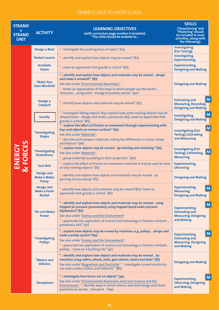| <b>STRAND</b><br>÷<br><b>STRAND</b><br><b>UNIT</b> | <b>ACTIVITY</b>                                          | <b>LEARNING OBJECTIVES</b><br>(with curriculum page number in brackets)<br>"The child should be enabled to                                                                                                                                                                                                                     | <b>SKILLS</b><br>('Questioning' and<br>'Predicting' should<br>be included in most<br>activities, along with<br>the following): |
|----------------------------------------------------|----------------------------------------------------------|--------------------------------------------------------------------------------------------------------------------------------------------------------------------------------------------------------------------------------------------------------------------------------------------------------------------------------|--------------------------------------------------------------------------------------------------------------------------------|
|                                                    | <b>Design a Boat</b>                                     | " investigate the pushing force of water" (65)                                                                                                                                                                                                                                                                                 | Investigating<br>(Fair Testing)                                                                                                |
|                                                    | <b>Rocket Launch</b>                                     | " identify and explore how objects may be moved" (87)                                                                                                                                                                                                                                                                          | Investigating,<br><b>Experimenting</b>                                                                                         |
|                                                    | <b>Acrobatic</b><br><b>Clown</b>                         | " come to appreciate that gravity is a force" (87)                                                                                                                                                                                                                                                                             | <b>Experimenting,</b><br><b>Designing and Making</b>                                                                           |
|                                                    | *Make Your<br><b>Own Windmill</b>                        | " identify and explore how objects and materials may be moved  design<br>and make a windmill" (87)<br>See also under 'Environmental Awareness':<br>" foster an appreciation of the ways in which people use the Earth's<br>resources  using wind  energy to produce power" (90)                                                | <b>Designing and Making</b>                                                                                                    |
|                                                    | Design a<br><b>Catapult</b>                              | " identify how objects and materials may be moved" (87)                                                                                                                                                                                                                                                                        | M<br><b>Estimating and</b><br><b>Measuring, Recording,</b><br><b>Designing and Making</b>                                      |
|                                                    | <b>Gravity</b>                                           | " investigate falling objects (65); explore how some moving objects may be<br>slowed down  design and make a parachute (65); come to appreciate that<br>gravity is a force" (87)                                                                                                                                               | M<br>Investigating,<br><b>Designing and Making</b>                                                                             |
|                                                    | *Investigating<br><b>Slopes</b>                          | " explore the effect of friction on movement through experimenting with<br>toys and objects on various surfaces" (65)<br>See also under 'Materials':<br>" describe and compare materials, noting the differences in colour, shape<br>and texture" (66)                                                                         | M<br><b>Investigating (Fair</b><br><b>Testing), Estimating</b><br>and Measuring                                                |
| & FORCES<br>ENERGY                                 | <i>*Investigating</i><br><b>Stretchiness</b>             | " explore how objects may be moved  by twisting and stretching" (65)<br>See also under 'Materials':<br>" group materials according to their properties" (66)                                                                                                                                                                   | <b>Investigating (Fair</b><br>$\mathsf{M}% _{T}$<br>Testing), Estimating,<br><b>Measuring</b>                                  |
|                                                    | <b>Seat Belt</b>                                         | " explore the effect of friction on movement and how it may be used to slow<br>or stop moving objects" (87)                                                                                                                                                                                                                    | <b>Experimenting,</b><br><b>Observing</b>                                                                                      |
|                                                    | <b>Design and</b><br><b>Make a Water</b><br><b>Pump</b>  | " identify and explore how objects and materials may be moved  by<br>pouring and pumping" (87)                                                                                                                                                                                                                                 | <b>Designing and Making</b>                                                                                                    |
|                                                    | <b>Design and</b><br><b>Make a Foam</b><br><b>Rocket</b> | "identify how objects and materials may be moved"(87); "come to<br>appreciate that gravity is a force" (87)                                                                                                                                                                                                                    | <b>Experimenting,</b><br>M<br><b>Measuring,</b><br><b>Designing and Making</b>                                                 |
|                                                    | *Air and Water<br><b>Power</b>                           | " identify and explore how objects and materials may be moved  using<br>trapped air pressure (pneumatics), using trapped liquid under pressure<br>(hydraulics)" (87)<br>See also under 'Science and the Environment':<br>" appreciate the application of science and technology in familiar contexts<br>pneumatic drill." (91) | M<br><b>Experimenting,</b><br><b>Estimating and</b><br><b>Measuring, Designing</b><br>and Making                               |
|                                                    | *Investigating<br><b>Pulleys</b>                         | " explore how objects may be moved by machines, e.g. pulleys  design and<br>make a pulley system" (65)<br>See also under 'Science and the Environment':<br>" appreciate the application of science and technology in familiar contexts<br>pulleys  crane on a building site" (91)                                              | M<br><b>Experimenting,</b><br><b>Estimating and</b><br><b>Measuring, Designing</b><br>and Making                               |
|                                                    | <i><b>*Motors and</b></i><br><b>Vehicles</b>             | " identify and explore how objects and materials may be moved  by<br>machines using rollers, wheels, axles, gear wheels, chains and belts" (87)<br>See also under 'Magnetism and Electricity': " investigate current electricity<br>use wires, bulbs, motors and batteries" (86)                                               | <b>Designing and Making</b>                                                                                                    |
|                                                    | *Aeroplanes                                              | " investigate how forces act on objects" (45)<br>See also under 'Environmental Awareness and Care/ Science and the<br>Environment': " identify ways in which science and technology contribute<br>positively to society  transport "(69)                                                                                       | M<br><b>Experimenting,</b><br><b>Observing, Designing</b><br>and Making                                                        |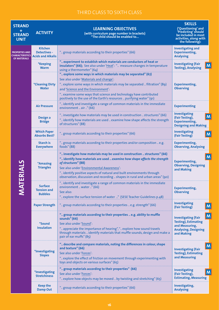| <b>STRAND</b><br>÷<br><b>STRAND</b><br><b>UNIT</b>             | <b>ACTIVITY</b>                                                   | <b>LEARNING OBJECTIVES</b><br>(with curriculum page number in brackets)<br>"The child should be enabled to                                                                                                                                                                                                                                                                          | <b>SKILLS</b><br>('Questioning' and<br>'Predicting' should<br>be included in most<br>activities, along with<br>the following): |
|----------------------------------------------------------------|-------------------------------------------------------------------|-------------------------------------------------------------------------------------------------------------------------------------------------------------------------------------------------------------------------------------------------------------------------------------------------------------------------------------------------------------------------------------|--------------------------------------------------------------------------------------------------------------------------------|
| PROPERTIES AND<br><b>HARACTERISTICS</b><br><b>OF MATERIALS</b> | <b>Kitchen</b><br><b>Detectives -</b><br><b>Acids and Alkalis</b> | " group materials according to their properties" (66)                                                                                                                                                                                                                                                                                                                               | <b>Investigating and</b><br><b>Experimenting,</b><br><b>Analysing</b>                                                          |
|                                                                | <i><b>*Keeping</b></i><br><b>Warm</b>                             | " experiment to establish which materials are conductors of heat or<br>insulators" (66); See also under 'Heat': " measure changes in temperature<br>using a thermometer" (64)                                                                                                                                                                                                       | <b>Investigating (Fair</b><br>M<br><b>Testing), Analysing</b>                                                                  |
|                                                                | <i><b>*Cleaning Dirty</b></i><br><b>Water</b>                     | " explore some ways in which materials may be separated" (67)<br>See also under 'Materials and change':<br>" explore some ways in which materials may be separated  filtration" (89)<br>and 'Science and the Environment':<br>" examine some ways that science and technology have contributed<br>positively to the use of the Earth's resources  purifying water" (91)             | <b>Experimenting,</b><br><b>Observing</b>                                                                                      |
|                                                                | <b>Air Pressure</b>                                               | " identify and investigate a range of common materials in the immediate<br>environment  air " (66)                                                                                                                                                                                                                                                                                  | <b>Experimenting</b>                                                                                                           |
|                                                                | Design a<br><b>Bridge</b>                                         | " investigate how materials may be used in construction  structures" (66)<br>" identify how materials are used  examine how shape affects the strength<br>of structures" (88)                                                                                                                                                                                                       | Investigating<br>$\mathsf{M}$<br>(Fair Testing),<br><b>Experimenting,</b><br><b>Designing and Making</b>                       |
|                                                                | <b>Which Paper</b><br><b>Absorbs Best?</b>                        | " group materials according to their properties" (66)                                                                                                                                                                                                                                                                                                                               | Investigating<br>M<br>(Fair Testing)                                                                                           |
|                                                                | <b>Starch is</b><br><b>Everywhere</b>                             | " group materials according to their properties and/or composition  e.g.<br>foods" (88)                                                                                                                                                                                                                                                                                             | <b>Experimenting,</b><br><b>Observing, Analysing</b>                                                                           |
| TERIALS                                                        | <i><b>*Amazing</b></i><br><b>Triangles</b>                        | " investigate how materials may be used in construction  structures" (66)<br>" identify how materials are used  examine how shape affects the strength<br>of structures" (88)<br>See also under 'Environmental Awareness':<br>" identify positive aspects of natural and built environments through<br>observation, discussion and recording  shapes in rural and urban areas" (90) | M<br><b>Experimenting,</b><br><b>Observing, Designing</b><br>and Making                                                        |
| KN                                                             | <b>Surface</b><br><b>Tension and</b><br><b>Bubbles</b>            | " identify and investigate a range of common materials in the immediate<br>environment  water " (66)<br>See also:<br>" explore the surface tension of water " (SESE Teacher Guidelines p.48)                                                                                                                                                                                        | <b>Experimenting,</b><br><b>Observing</b>                                                                                      |
|                                                                | <b>Paper Strength</b>                                             | " group materials according to their properties  e.g. strength" (66)                                                                                                                                                                                                                                                                                                                | Investigating<br>M<br>(Fair Testing)                                                                                           |
|                                                                | <i><b>*Sound</b></i><br><b>Insulation</b>                         | " group materials according to their properties  e.g. ability to muffle<br>sounds" (66)<br>See also under 'Sound':<br>" appreciate the importance of hearing", " explore how sound travels<br>through materials  identify materials that muffle sounds, design and make a<br>pair of ear muffs" (85)                                                                                | M<br><b>Investigating (Fair</b><br><b>Testing), Estimating</b><br>and Measuring,<br><b>Analysing, Designing</b><br>and Making  |
|                                                                | *Investigating<br><b>Slopes</b>                                   | " describe and compare materials, noting the differences in colour, shape<br>and texture" (66)<br>See also under 'Forces':<br>" explore the effect of friction on movement through experimenting with<br>toys and objects on various surfaces" (65)                                                                                                                                 | M<br><b>Investigating (Fair</b><br><b>Testing), Estimating</b><br>and Measuring                                                |
|                                                                | <i>*Investigating</i><br><b>Stretchiness</b>                      | " group materials according to their properties" (66)<br>See also under 'Forces':<br>" explore how objects may be moved  by twisting and stretching" (65)                                                                                                                                                                                                                           | Investigating<br>M<br>(Fair Testing),<br><b>Estimating, Measuring</b>                                                          |
|                                                                | <b>Keep the</b><br><b>Damp Out</b>                                | " group materials according to their properties" (66)                                                                                                                                                                                                                                                                                                                               | Investigating,<br><b>Analysing</b>                                                                                             |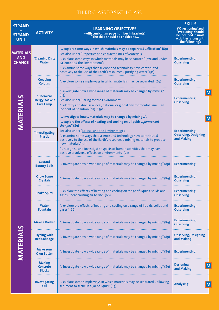| <b>STRAND</b><br><b>STRAND</b><br><b>UNIT</b>   | <b>ACTIVITY</b>                                                      | <b>LEARNING OBJECTIVES</b><br>(with curriculum page number in brackets)<br>"The child should be enabled to                                                                                                                                                                                                                                                                                                                                                                                               | <b>SKILLS</b><br>('Questioning' and<br>'Predicting' should<br>be included in most<br>activities, along with<br>the following): |
|-------------------------------------------------|----------------------------------------------------------------------|----------------------------------------------------------------------------------------------------------------------------------------------------------------------------------------------------------------------------------------------------------------------------------------------------------------------------------------------------------------------------------------------------------------------------------------------------------------------------------------------------------|--------------------------------------------------------------------------------------------------------------------------------|
| <b>MATERIALS</b><br><b>AND</b><br><b>CHANGE</b> | <i>*Cleaning Dirty</i><br><b>Water</b>                               | " explore some ways in which materials may be separated  filtration" (89)<br>See also under 'Properties and characteristics of Materials':<br>" explore some ways in which materials may be separated" (67); and under<br>'Science and the Environment':<br>" examine some ways that science and technology have contributed<br>positively to the use of the Earth's resources  purifying water" (91)                                                                                                    | <b>Experimenting,</b><br><b>Observing</b>                                                                                      |
|                                                 | <b>Creeping</b><br><b>Colours</b>                                    | " explore some simple ways in which materials may be separated" (67)                                                                                                                                                                                                                                                                                                                                                                                                                                     | <b>Experimenting,</b><br><b>Observing</b>                                                                                      |
|                                                 | <i><b>*Chemical</b></i><br><b>Energy: Make a</b><br><b>Lava Lamp</b> | "investigate how a wide range of materials may be changed by mixing"<br>(89)<br>See also under 'Caring for the Environment':<br>" identify and discuss a local, national or global environmental issue  an<br>incident of pollution (oil) " (92)                                                                                                                                                                                                                                                         | <b>Experimenting,</b><br><b>Observing</b>                                                                                      |
| <b>MATERIALS</b>                                | *Investigating<br><b>Plastic</b>                                     | " investigate how  materials may be changed by mixing ",<br>" explore the effects of heating and cooling on  liquids  permanent<br>changes" (89)<br>See also under 'Science and the Environment':<br>" examine some ways that science and technology have contributed<br>positively to the use of the Earth's resources  mixing materials to produce<br>new materials"(91)<br>" recognise and investigate aspects of human activities that may have<br>positive or adverse effects on environments" (91) | <b>Experimenting,</b><br><b>Observing, Designing</b><br>and Making                                                             |
|                                                 | <b>Custard</b><br><b>Bouncy Balls</b>                                | " investigate how a wide range of materials may be changed by mixing" (89)                                                                                                                                                                                                                                                                                                                                                                                                                               | <b>Experimenting</b>                                                                                                           |
|                                                 | <b>Grow Some</b><br><b>Crystals</b>                                  | " investigate how a wide range of materials may be changed by mixing" (89)                                                                                                                                                                                                                                                                                                                                                                                                                               | <b>Experimenting,</b><br><b>Observing</b>                                                                                      |
|                                                 | <b>Snake Spiral</b>                                                  | " explore the effects of heating and cooling on range of liquids, solids and<br>gases  heat causing air to rise" (66)                                                                                                                                                                                                                                                                                                                                                                                    | <b>Experimenting,</b><br><b>Observing</b>                                                                                      |
|                                                 | <b>Water</b><br><b>Fountain</b>                                      | " explore the effects of heating and cooling on a range of liquids, solids and<br>gases" (66)                                                                                                                                                                                                                                                                                                                                                                                                            | <b>Experimenting,</b><br><b>Observing</b>                                                                                      |
|                                                 | <b>Make a Rocket</b>                                                 | " investigate how a wide range of materials may be changed by mixing" (89)                                                                                                                                                                                                                                                                                                                                                                                                                               | <b>Experimenting,</b><br><b>Observing</b>                                                                                      |
|                                                 | <b>Dyeing with</b><br><b>Red Cabbage</b>                             | " investigate how a wide range of materials may be changed by mixing" (89)                                                                                                                                                                                                                                                                                                                                                                                                                               | <b>Observing, Designing</b><br>and Making                                                                                      |
| MATERIALS                                       | <b>Make Your</b><br><b>Own Butter</b>                                | " investigate how a wide range of materials may be changed by mixing" (89)                                                                                                                                                                                                                                                                                                                                                                                                                               | <b>Experimenting</b>                                                                                                           |
|                                                 | <b>Making</b><br><b>Concrete</b><br><b>Blocks</b>                    | " investigate how a wide range of materials may be changed by mixing" (89)                                                                                                                                                                                                                                                                                                                                                                                                                               | <b>Designing</b><br>and Making                                                                                                 |
|                                                 | Investigating<br><b>Soil</b>                                         | " explore some simple ways in which materials may be separated  allowing<br>sediment to settle in a jar of liquid" (89)                                                                                                                                                                                                                                                                                                                                                                                  | <b>Analysing</b>                                                                                                               |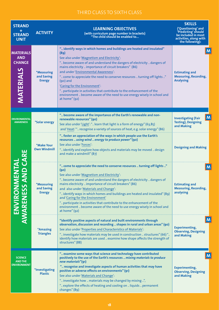| <b>STRAND</b><br><b>STRAND</b><br><b>UNIT</b>                       | <b>ACTIVITY</b>                                         | <b>LEARNING OBJECTIVES</b><br>(with curriculum page number in brackets)<br>"The child should be enabled to                                                                                                                                                                                                                                                                                                                                                                                                                                                                                                       | <b>SKILLS</b><br>('Questioning' and<br>'Predicting' should<br>be included in most<br>activities, along with<br>the following): |
|---------------------------------------------------------------------|---------------------------------------------------------|------------------------------------------------------------------------------------------------------------------------------------------------------------------------------------------------------------------------------------------------------------------------------------------------------------------------------------------------------------------------------------------------------------------------------------------------------------------------------------------------------------------------------------------------------------------------------------------------------------------|--------------------------------------------------------------------------------------------------------------------------------|
| <b>MATERIALS</b><br><b>AND</b><br><b>CHANGE</b><br><b>MATERIALS</b> | <i><b>*Measuring</b></i><br>and Saving<br><b>Energy</b> | " identify ways in which homes and buildings are heated and insulated"<br>(89)<br>See also under 'Magnetism and Electricity':<br>" become aware of and understand the dangers of electricity  dangers of<br>mains electricity  importance of circuit breakers" (86)<br>and under 'Environmental Awareness':<br>" come to appreciate the need to conserve resources  turning off lights "<br>$(90)$ and<br>'Caring for the Environment':<br>" participate in activities that contribute to the enhancement of the<br>environment  become aware of the need to use energy wisely in school and<br>at home" $(g_2)$ | M<br><b>Estimating and</b><br><b>Measuring, Recording,</b><br><b>Analysing</b>                                                 |
| <b>ENVIRONMENTAL</b><br><b>AWARENESS</b>                            | <i>*Solar energy</i>                                    | " become aware of the importance of the Earth's renewable and non-<br>renewable resources" (90)<br>See also under 'Light': " learn that light is a form of energy" (63,85)<br>and 'Heat:'" recognise a variety of sources of heat, e.g. solar energy" (86)                                                                                                                                                                                                                                                                                                                                                       | $\mathsf{M}$<br><b>Investigating (Fair</b><br><b>Testing), Designing</b><br>and Making                                         |
| <b>DICARE</b>                                                       | *Make Your<br><b>Own Windmill</b>                       | " foster an appreciation of the ways in which people use the Earth's<br>resources  using wind  energy to produce power" (90)<br>See also under 'Forces':<br>" identify and explore how objects and materials may be moved  design<br>and make a windmill" (87)                                                                                                                                                                                                                                                                                                                                                   | <b>Designing and Making</b>                                                                                                    |
| <b>MENTA</b><br><b>AWARENESS</b><br>ENVIRON                         | <b>*Measuring</b><br>and Saving<br><b>Energy</b>        | " come to appreciate the need to conserve resources  turning off lights "<br>(90)<br>See also under 'Magnetism and Electricity':<br>" become aware of and understand the dangers of electricity  dangers of<br>mains electricity  importance of circuit breakers" (86)<br>and also under 'Materials and Change':<br>" identify ways in which homes and buildings are heated and insulated" (89)<br>and 'Caring for the Environment'<br>" participate in activities that contribute to the enhancement of the<br>environment  become aware of the need to use energy wisely in school and<br>at home" (92)        | $\mathsf{M}$<br><b>Estimating and</b><br><b>Measuring, Recording,</b><br>analysing                                             |
|                                                                     | <i><b>*Amazing</b></i><br><b>Triangles</b>              | "identify positive aspects of natural and built environments through<br>observation, discussion and recording  shapes in rural and urban areas" (90)<br>See also under 'Properties and Characteristics of Materials':<br>" investigate how materials may be used in construction  structures" (66) "<br>identify how materials are used  examine how shape affects the strength of<br>structures" (88)                                                                                                                                                                                                           | $\mathsf{M}$<br><b>Experimenting,</b><br><b>Observing, Designing</b><br>and Making                                             |
| <b>SCIENCE</b><br><b>AND THE</b><br><b>ENVIRONMENT</b>              | <i>*Investigating</i><br><b>Plastic</b>                 | " examine some ways that science and technology have contributed<br>positively to the use of the Earth's resources  mixing materials to produce<br>new materials"(91)<br>" recognise and investigate aspects of human activities that may have<br>positive or adverse effects on environments" (91)<br>See also under 'Materials and Change':<br>" investigate how  materials may be changed by mixing ",<br>" explore the effects of heating and cooling on  liquids  permanent<br>changes" (89)                                                                                                                | <b>Experimenting,</b><br><b>Observing, Designing</b><br>and Making                                                             |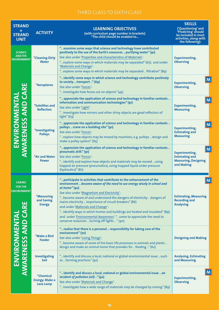| <b>STRAND</b><br><b>STRAND</b><br><b>UNIT</b>          | <b>ACTIVITY</b>                                               | <b>LEARNING OBJECTIVES</b><br>(with curriculum page number in brackets)<br>"The child should be enabled to                                                                                                                                                                                                                                                                                                                                                                                                                                                                                             | <b>SKILLS</b><br>('Questioning' and<br>'Predicting' should<br>be included in most<br>activities, along with<br>the following): |
|--------------------------------------------------------|---------------------------------------------------------------|--------------------------------------------------------------------------------------------------------------------------------------------------------------------------------------------------------------------------------------------------------------------------------------------------------------------------------------------------------------------------------------------------------------------------------------------------------------------------------------------------------------------------------------------------------------------------------------------------------|--------------------------------------------------------------------------------------------------------------------------------|
| <b>SCIENCE</b><br><b>AND THE</b><br><b>ENVIRONMENT</b> | <i><b>*Cleaning Dirty</b></i><br><b>Water</b>                 | " examine some ways that science and technology have contributed<br>positively to the use of the Earth's resources  purifying water" (91)<br>See also under 'Properties and characteristics of Materials':<br>" explore some ways in which materials may be separated" (67); and under<br>'Materials and Change':<br>" explore some ways in which materials may be separated  filtration" (89)                                                                                                                                                                                                         | <b>Experimenting,</b><br><b>Observing</b>                                                                                      |
|                                                        | *Aeroplanes                                                   | " identify some ways in which science and technology contribute positively<br>to society  transport " (69)<br>See also under 'Forces':<br>" investigate how forces act on objects" (45)                                                                                                                                                                                                                                                                                                                                                                                                                | M<br><b>Experimenting,</b><br><b>Observing</b>                                                                                 |
|                                                        | <i>*Satellites and</i><br><b>Reflection</b>                   | " appreciate the application of science and technology in familiar contexts<br>information and communication technologies" (91)<br>See also under 'Light':<br>" investigate how mirrors and other shiny objects are good reflectors of<br>light" $(63)$                                                                                                                                                                                                                                                                                                                                                | M<br><b>Experimenting,</b><br><b>Measuring</b>                                                                                 |
| <b>AWARENESS AND CARE</b><br>ENVIRONMENTA              | *Investigating<br><b>Pulleys</b>                              | " appreciate the application of science and technology in familiar contexts<br>pulleys  crane on a building site" (91)<br>See also under 'Forces':<br>" explore how objects may be moved by machines, e.g. pulleys  design and<br>make a pulley system" (65)                                                                                                                                                                                                                                                                                                                                           | $\mathsf{M}$<br><b>Experimenting,</b><br><b>Estimating and</b><br><b>Measuring</b>                                             |
|                                                        | *Air and Water<br><b>Power</b>                                | " appreciate the application of science and technology in familiar contexts<br>pneumatic drill." (91)<br>See also under 'Forces':<br>" identify and explore how objects and materials may be moved  using<br>trapped air pressure (pneumatics), using trapped liquid under pressure<br>(hydraulics)" (87)                                                                                                                                                                                                                                                                                              | M<br><b>Experimenting,</b><br><b>Estimating and</b><br><b>Measuring, Designing</b><br>and Making                               |
| <b>CARING</b><br><b>FOR THE</b><br><b>ENVIRONMENT</b>  | <i><b>*Measuring</b></i><br>and Saving<br><b>Energy</b>       | " participate in activities that contribute to the enhancement of the<br>environment  become aware of the need to use energy wisely in school and<br>at home" (92)<br>See also under 'Magnetism and Electricity':<br>" become aware of and understand the dangers of electricity  dangers of<br>mains electricity  importance of circuit breakers" (86)<br>and under 'Materials and Change':<br>" identify ways in which homes and buildings are heated and insulated" (89)<br>and under 'Environmental Awareness': " come to appreciate the need to<br>conserve resources  turning off lights  " (90) | M<br><b>Estimating, Measuring</b><br><b>Recording and</b><br><b>Analysing</b>                                                  |
| <b>AWARENESS AND CARE</b><br><b>ENVIRONMENTA</b>       | *Make a Bird<br><b>Feeder</b>                                 | " realise that there is a personal  responsibility for taking care of the<br>environment" (70)<br>See also under 'Living Things':<br>" become aware of some of the basic life processes in animals and plants<br>design and make an animal home that provides for  feeding " (62)                                                                                                                                                                                                                                                                                                                      | <b>Designing and Making</b>                                                                                                    |
|                                                        | <b>Investigating</b><br>Soil                                  | " identify and discuss a local, national or global environmental issue  such<br>as  farming practices" (92)                                                                                                                                                                                                                                                                                                                                                                                                                                                                                            | <b>Analysing, Estimating</b><br>and Measuring                                                                                  |
|                                                        | <i><b>*Chemical</b></i><br><b>Energy: Make a</b><br>Lava Lamp | " identify and discuss a local, national or global environmental issue  an<br>incident of pollution (oil) " (92)<br>See also under 'Materials and Change':<br>" investigate how a wide range of materials may be changed by mixing" (89)                                                                                                                                                                                                                                                                                                                                                               | <b>Experimenting,</b><br><b>Observing</b>                                                                                      |